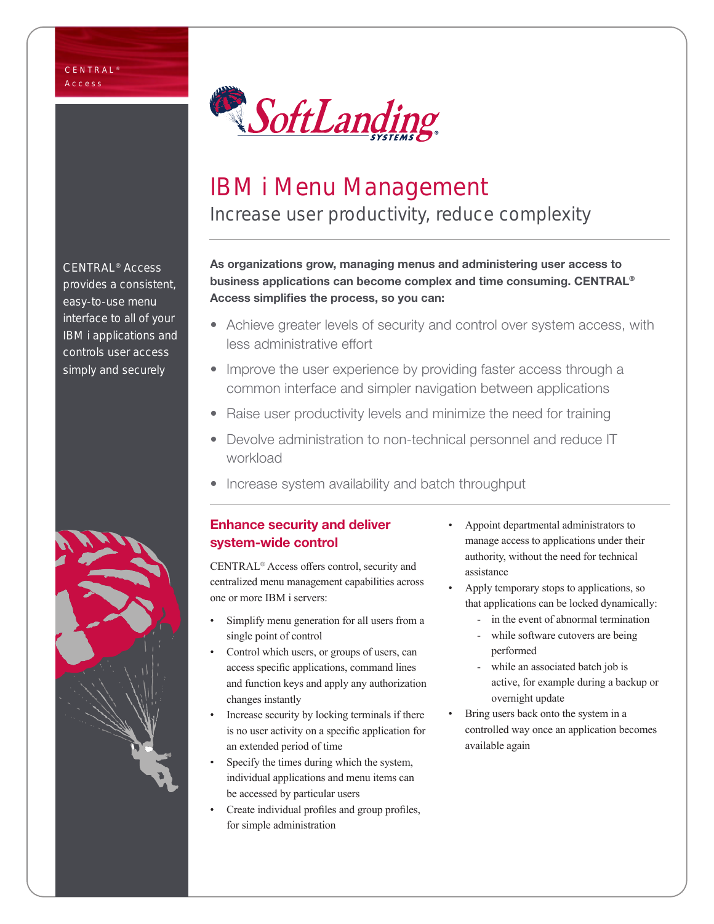

# IBM i Menu Management

Increase user productivity, reduce complexity

As organizations grow, managing menus and administering user access to business applications can become complex and time consuming. CENTRAL® Access simplifies the process, so you can:

- Achieve greater levels of security and control over system access, with less administrative effort
- Improve the user experience by providing faster access through a common interface and simpler navigation between applications
- Raise user productivity levels and minimize the need for training
- Devolve administration to non-technical personnel and reduce IT workload
- Increase system availability and batch throughput

### Enhance security and deliver system-wide control

CENTRAL® Access offers control, security and centralized menu management capabilities across one or more IBM i servers:

- Simplify menu generation for all users from a single point of control
- Control which users, or groups of users, can access specific applications, command lines and function keys and apply any authorization changes instantly
- Increase security by locking terminals if there is no user activity on a specific application for an extended period of time
- Specify the times during which the system, individual applications and menu items can be accessed by particular users
- Create individual profiles and group profiles, for simple administration
- Appoint departmental administrators to manage access to applications under their authority, without the need for technical assistance
- Apply temporary stops to applications, so that applications can be locked dynamically:
	- in the event of abnormal termination
	- while software cutovers are being performed
	- while an associated batch job is active, for example during a backup or overnight update
- Bring users back onto the system in a controlled way once an application becomes available again

CENTRAL® Access provides a consistent, easy-to-use menu interface to all of your IBM i applications and controls user access simply and securely